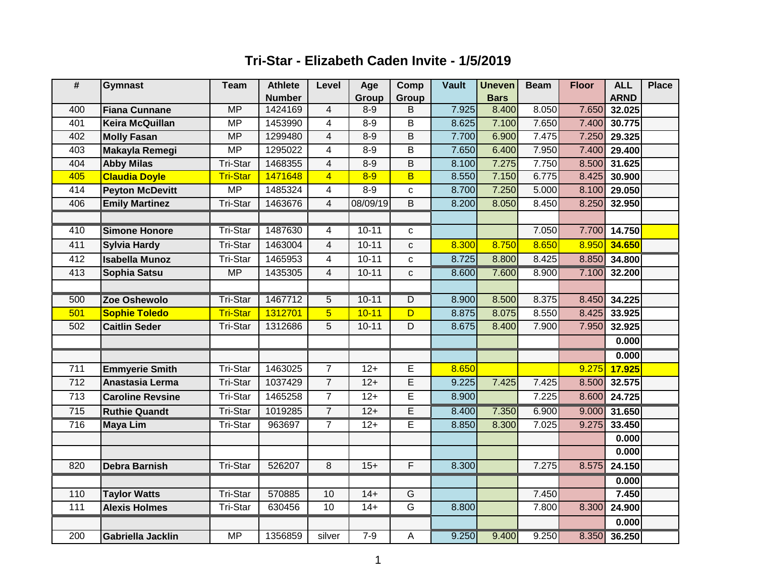## **Tri-Star - Elizabeth Caden Invite - 1/5/2019**

| $\#$             | <b>Gymnast</b>          | <b>Team</b>     | <b>Athlete</b> | Level           | Age       | Comp                    | <b>Vault</b> | <b>Uneven</b> | <b>Beam</b> | <b>Floor</b> | <b>ALL</b>  | <b>Place</b> |
|------------------|-------------------------|-----------------|----------------|-----------------|-----------|-------------------------|--------------|---------------|-------------|--------------|-------------|--------------|
|                  |                         |                 | <b>Number</b>  |                 | Group     | Group                   |              | <b>Bars</b>   |             |              | <b>ARND</b> |              |
| 400              | <b>Fiana Cunnane</b>    | <b>MP</b>       | 1424169        | $\overline{4}$  | $8-9$     | B                       | 7.925        | 8.400         | 8.050       | 7.650        | 32.025      |              |
| 401              | <b>Keira McQuillan</b>  | <b>MP</b>       | 1453990        | $\overline{4}$  | $8-9$     | B                       | 8.625        | 7.100         | 7.650       | 7.400        | 30.775      |              |
| 402              | <b>Molly Fasan</b>      | <b>MP</b>       | 1299480        | $\overline{4}$  | $8-9$     | B                       | 7.700        | 6.900         | 7.475       | 7.250        | 29.325      |              |
| 403              | Makayla Remegi          | <b>MP</b>       | 1295022        | 4               | $8 - 9$   | $\overline{\mathsf{B}}$ | 7.650        | 6.400         | 7.950       | 7.400        | 29.400      |              |
| 404              | <b>Abby Milas</b>       | Tri-Star        | 1468355        | 4               | $8 - 9$   | B                       | 8.100        | 7.275         | 7.750       | 8.500        | 31.625      |              |
| 405              | <b>Claudia Doyle</b>    | <b>Tri-Star</b> | 1471648        | $\overline{4}$  | $8 - 9$   | B                       | 8.550        | 7.150         | 6.775       | 8.425        | 30.900      |              |
| 414              | <b>Peyton McDevitt</b>  | <b>MP</b>       | 1485324        | 4               | $8 - 9$   | C                       | 8.700        | 7.250         | 5.000       | 8.100        | 29.050      |              |
| 406              | <b>Emily Martinez</b>   | <b>Tri-Star</b> | 1463676        | 4               | 08/09/19  | $\overline{B}$          | 8.200        | 8.050         | 8.450       | 8.250        | 32.950      |              |
|                  |                         |                 |                |                 |           |                         |              |               |             |              |             |              |
| 410              | <b>Simone Honore</b>    | <b>Tri-Star</b> | 1487630        | $\overline{4}$  | $10 - 11$ | $\mathtt{C}$            |              |               | 7.050       | 7.700        | 14.750      |              |
| 411              | <b>Sylvia Hardy</b>     | <b>Tri-Star</b> | 1463004        | $\overline{4}$  | $10 - 11$ | $\mathbf{C}$            | 8.300        | 8.750         | 8.650       | 8.950        | 34.650      |              |
| 412              | <b>Isabella Munoz</b>   | <b>Tri-Star</b> | 1465953        | $\overline{4}$  | $10 - 11$ | C                       | 8.725        | 8.800         | 8.425       | 8.850        | 34.800      |              |
| 413              | Sophia Satsu            | MP              | 1435305        | $\overline{4}$  | $10 - 11$ | $\mathbf{C}$            | 8.600        | 7.600         | 8.900       | 7.100        | 32.200      |              |
|                  |                         |                 |                |                 |           |                         |              |               |             |              |             |              |
| 500              | Zoe Oshewolo            | Tri-Star        | 1467712        | $\overline{5}$  | $10 - 11$ | $\overline{\mathsf{D}}$ | 8.900        | 8.500         | 8.375       | 8.450        | 34.225      |              |
| 501              | <b>Sophie Toledo</b>    | <b>Tri-Star</b> | 1312701        | $\overline{5}$  | $10 - 11$ | $\overline{D}$          | 8.875        | 8.075         | 8.550       | 8.425        | 33.925      |              |
| 502              | <b>Caitlin Seder</b>    | Tri-Star        | 1312686        | 5               | $10 - 11$ | D                       | 8.675        | 8.400         | 7.900       | 7.950        | 32.925      |              |
|                  |                         |                 |                |                 |           |                         |              |               |             |              | 0.000       |              |
|                  |                         |                 |                |                 |           |                         |              |               |             |              | 0.000       |              |
| 711              | <b>Emmyerie Smith</b>   | Tri-Star        | 1463025        | $\overline{7}$  | $12+$     | E                       | 8.650        |               |             | 9.275        | 17.925      |              |
| $\overline{712}$ | Anastasia Lerma         | Tri-Star        | 1037429        | $\overline{7}$  | $12+$     | E                       | 9.225        | 7.425         | 7.425       | 8.500        | 32.575      |              |
| 713              | <b>Caroline Revsine</b> | Tri-Star        | 1465258        | $\overline{7}$  | $12+$     | E                       | 8.900        |               | 7.225       | 8.600        | 24.725      |              |
| $\overline{715}$ | <b>Ruthie Quandt</b>    | Tri-Star        | 1019285        | $\overline{7}$  | $12+$     | E                       | 8.400        | 7.350         | 6.900       | 9.000        | 31.650      |              |
| 716              | <b>Maya Lim</b>         | Tri-Star        | 963697         | $\overline{7}$  | $12+$     | Ē                       | 8.850        | 8.300         | 7.025       | 9.275        | 33.450      |              |
|                  |                         |                 |                |                 |           |                         |              |               |             |              | 0.000       |              |
|                  |                         |                 |                |                 |           |                         |              |               |             |              | 0.000       |              |
| 820              | <b>Debra Barnish</b>    | Tri-Star        | 526207         | 8               | $15+$     | F                       | 8.300        |               | 7.275       | 8.575        | 24.150      |              |
|                  |                         |                 |                |                 |           |                         |              |               |             |              | 0.000       |              |
| 110              | <b>Taylor Watts</b>     | Tri-Star        | 570885         | 10              | $14+$     | $\overline{G}$          |              |               | 7.450       |              | 7.450       |              |
| 111              | <b>Alexis Holmes</b>    | Tri-Star        | 630456         | $\overline{10}$ | $14+$     | G                       | 8.800        |               | 7.800       | 8.300        | 24.900      |              |
|                  |                         |                 |                |                 |           |                         |              |               |             |              | 0.000       |              |
| 200              | Gabriella Jacklin       | <b>MP</b>       | 1356859        | silver          | $7-9$     | Α                       | 9.250        | 9.400         | 9.250       | 8.350        | 36.250      |              |